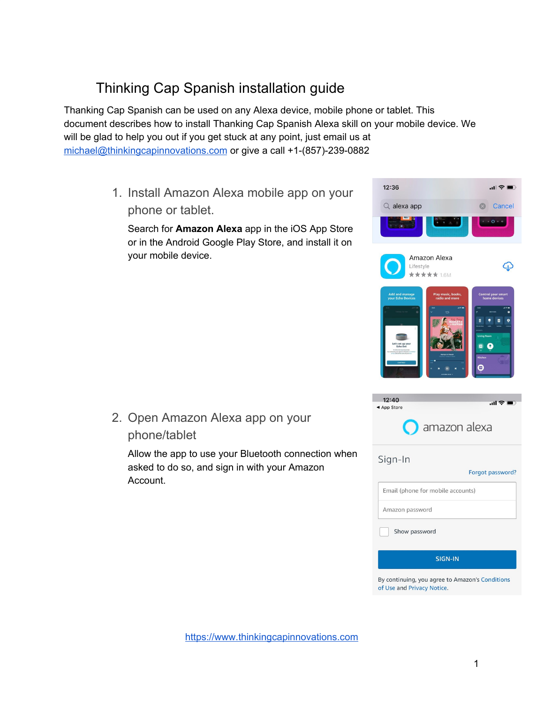## Thinking Cap Spanish installation guide

Thanking Cap Spanish can be used on any Alexa device, mobile phone or tablet. This document describes how to install Thanking Cap Spanish Alexa skill on your mobile device. We will be glad to help you out if you get stuck at any point, just email us at [michael@thinkingcapinnovations.com](mailto:michael@thinkingcapinnovations.com) or give a call +1-(857)-239-0882

> 1. Install Amazon Alexa mobile app on your phone or tablet.

2. Open Amazon Alexa app on your

asked to do so, and sign in with your Amazon

phone/tablet

Account.

Search for **Amazon Alexa** app in the iOS App Store or in the Android Google Play Store, and install it on your mobile device.

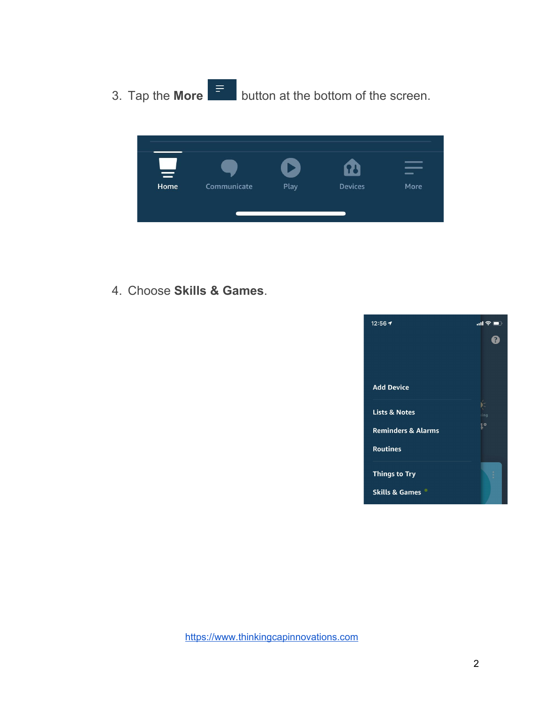3. Tap the **More** button at the bottom of the screen.



4. Choose **Skills & Games**.

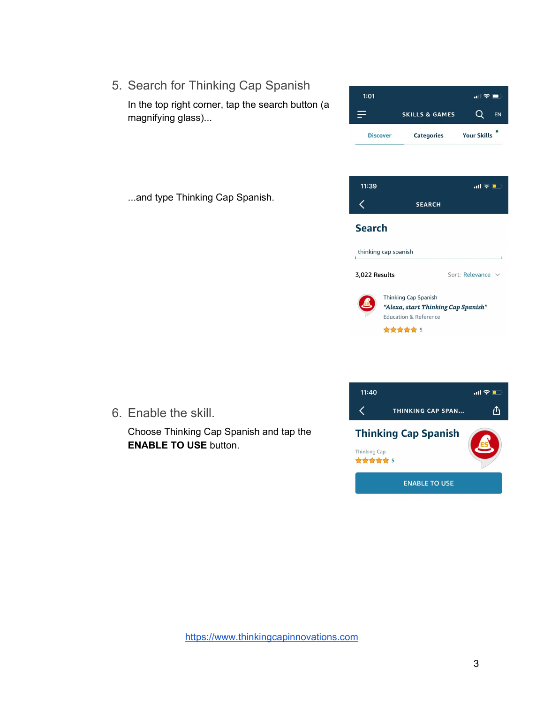5. Search for Thinking Cap Spanish

...and type Thinking Cap Spanish.

In the top right corner, tap the search button (a magnifying glass)...





山々口  $11:40$  $\overline{\left( \right. }%$ 凸 THINKING CAP SPAN... **Thinking Cap Spanish** Thinking Cap ☆☆☆☆☆ 5 **ENABLE TO USE** 

6. Enable the skill.

Choose Thinking Cap Spanish and tap the **ENABLE TO USE** button.